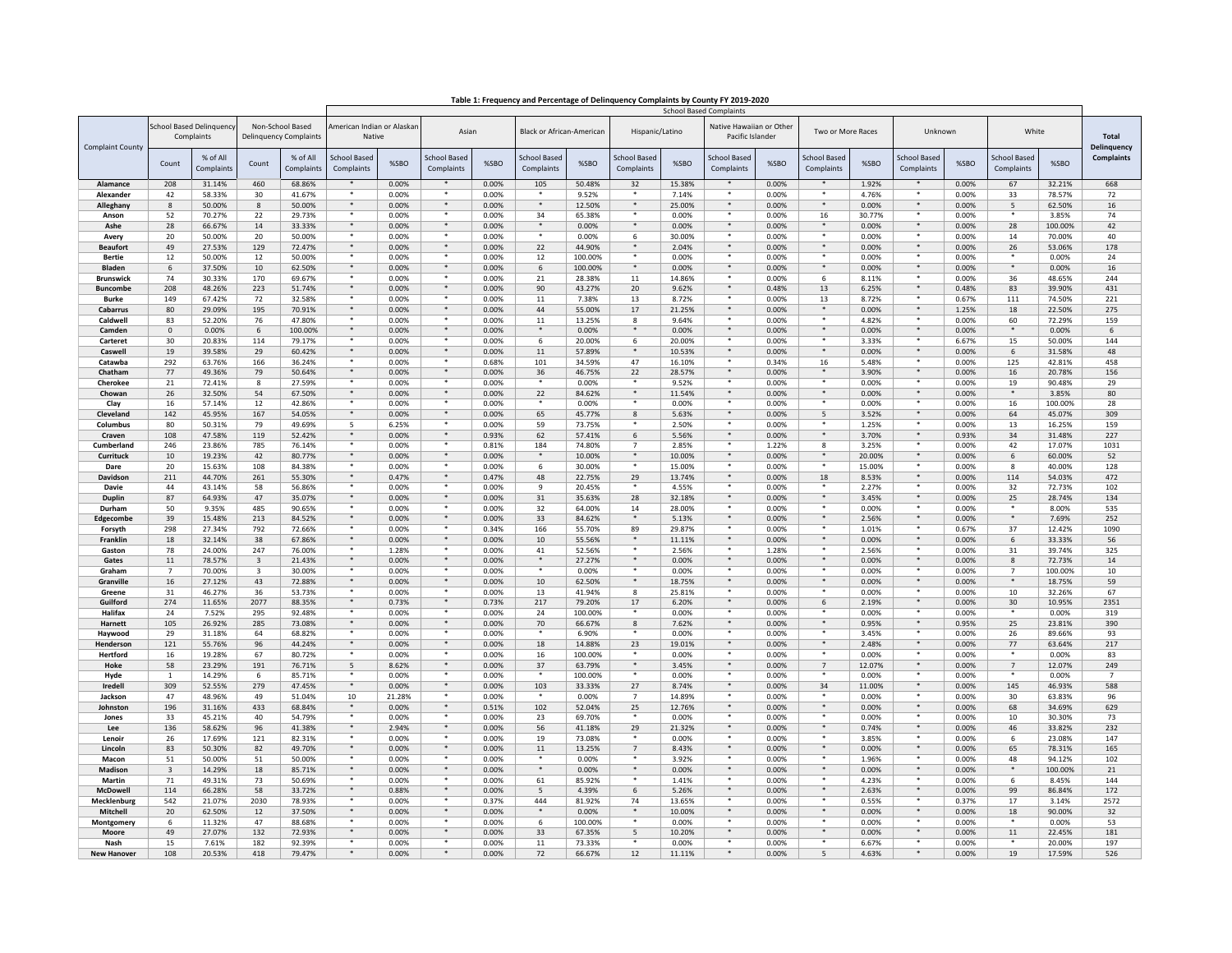|                                 |                     |                                               |                         |                                                   |                                      |                | <b>School Based Complaints</b>    |                |                                   |                   |                            |                  |                                              |                |                                   |                  |                                   |                |                                   |                  |                                    |
|---------------------------------|---------------------|-----------------------------------------------|-------------------------|---------------------------------------------------|--------------------------------------|----------------|-----------------------------------|----------------|-----------------------------------|-------------------|----------------------------|------------------|----------------------------------------------|----------------|-----------------------------------|------------------|-----------------------------------|----------------|-----------------------------------|------------------|------------------------------------|
| <b>Complaint County</b>         |                     | <b>School Based Delinquency</b><br>Complaints |                         | Non-School Based<br><b>Delinguency Complaints</b> | American Indian or Alaskan<br>Native |                | Asian                             |                | <b>Black or African-American</b>  |                   | Hispanic/Latino            |                  | Native Hawaiian or Other<br>Pacific Islander |                | Two or More Races                 |                  | Unknown                           |                | White                             |                  | <b>Total</b><br><b>Delinquency</b> |
|                                 | Count               | % of All<br>Complaints                        | Count                   | % of All<br>Complaints                            | <b>School Based</b><br>Complaints    | %SBO           | <b>School Based</b><br>Complaints | %SBO           | <b>School Based</b><br>Complaints | %SBO              | School Based<br>Complaints | %SBO             | <b>School Based</b><br>Complaints            | %SBO           | <b>School Based</b><br>Complaints | %SBO             | <b>School Based</b><br>Complaints | %SBO           | <b>School Based</b><br>Complaints | %SBO             | <b>Complaints</b>                  |
| Alamance                        | 208                 | 31.14%                                        | 460                     | 68.86%                                            | $\bullet$                            | 0.00%          | $\mathbf{r}$                      | 0.00%          | 105                               | 50.48%            | 32                         | 15.38%           |                                              | 0.00%          | *                                 | 1.92%            | $\star$                           | 0.00%          | 67                                | 32.21%           | 668                                |
| Alexander                       | 42                  | 58.33%                                        | 30                      | 41.67%                                            | ٠<br>$\star$                         | 0.00%          | $\star$                           | 0.00%          | $\star$                           | 9.52%             | $\ast$                     | 7.14%            | $\star$                                      | 0.00%          | $\star$<br>$\star$                | 4.76%            | $\star$<br>$\star$                | 0.00%          | 33                                | 78.57%           | 72                                 |
| Alleghany<br>Anson              | $\mathbf{8}$<br>52  | 50.00%<br>70.27%                              | 8<br>22                 | 50.00%<br>29.73%                                  | ٠                                    | 0.00%<br>0.00% |                                   | 0.00%<br>0.00% | 34                                | 12.50%<br>65.38%  | $\star$                    | 25.00%<br>0.00%  |                                              | 0.00%<br>0.00% | 16                                | 0.00%<br>30.77%  | $\star$                           | 0.00%<br>0.00% | 5                                 | 62.50%<br>3.85%  | 16<br>74                           |
| Ashe                            | 28                  | 66.67%                                        | 14                      | 33.33%                                            | $\ddot{\phantom{1}}$                 | 0.00%          |                                   | 0.00%          |                                   | 0.00%             | $\ast$                     | 0.00%            |                                              | 0.00%          |                                   | 0.00%            | $\ast$                            | 0.00%          | 28                                | 100.00%          | 42                                 |
| Avery                           | 20                  | 50.00%                                        | 20                      | 50.00%                                            |                                      | 0.00%          |                                   | 0.00%          |                                   | 0.00%             | 6                          | 30.00%           |                                              | 0.00%          |                                   | 0.00%            |                                   | 0.00%          | 14                                | 70.00%           | 40                                 |
| <b>Beaufort</b>                 | 49                  | 27.53%                                        | 129                     | 72.47%                                            | $\star$                              | 0.00%          | $\star$                           | 0.00%          | 22                                | 44.90%            | ₩                          | 2.04%            | *                                            | 0.00%          | *                                 | 0.00%            | $\star$                           | 0.00%          | 26                                | 53.06%           | 178                                |
| <b>Bertie</b>                   | 12                  | 50.00%                                        | 12                      | 50.00%                                            |                                      | 0.00%          |                                   | 0.00%          | 12                                | 100.00%           |                            | 0.00%            |                                              | 0.00%          |                                   | 0.00%            |                                   | 0.00%          |                                   | 0.00%            | 24                                 |
| <b>Bladen</b>                   | -6                  | 37.50%                                        | 10                      | 62.50%                                            | $\star$                              | 0.00%          | $\ast$                            | 0.00%          | 6                                 | 100.00%           | $\star$                    | 0.00%            | $*$                                          | 0.00%          |                                   | 0.00%            | $\star$                           | 0.00%          | $\star$                           | 0.00%            | 16                                 |
| <b>Brunswick</b>                | 74                  | 30.33%                                        | 170                     | 69.67%                                            |                                      | 0.00%          |                                   | 0.00%          | 21                                | 28.38%            | 11                         | 14.86%           |                                              | 0.00%          | 6                                 | 8.11%            | $\ast$                            | 0.00%          | 36                                | 48.65%           | 244                                |
| <b>Buncombe</b><br><b>Burke</b> | 208<br>149          | 48.26%<br>67.42%                              | 223<br>72               | 51.74%<br>32.58%                                  | ۰                                    | 0.00%<br>0.00% | *                                 | 0.00%<br>0.00% | 90<br>11                          | 43.27%<br>7.38%   | 20<br>13                   | 9.62%<br>8.72%   | *                                            | 0.48%<br>0.00% | 13<br>13                          | 6.25%<br>8.72%   | *                                 | 0.48%<br>0.67% | 83<br>111                         | 39.90%<br>74.50% | 431<br>221                         |
| Cabarrus                        | 80                  | 29.09%                                        | 195                     | 70.91%                                            | ۰                                    | 0.00%          | $*$                               | 0.00%          | 44                                | 55.00%            | 17                         | 21.25%           | $*$                                          | 0.00%          | *                                 | 0.00%            | $*$                               | 1.25%          | 18                                | 22.50%           | 275                                |
| Caldwell                        | 83                  | 52.20%                                        | 76                      | 47.80%                                            | ٠                                    | 0.00%          | *                                 | 0.00%          | $11\,$                            | 13.25%            | 8                          | 9.64%            |                                              | 0.00%          | *                                 | 4.82%            | $\star$                           | 0.00%          | 60                                | 72.29%           | 159                                |
| Camden                          | $\Omega$            | 0.00%                                         | 6                       | 100.00%                                           | $\star$                              | 0.00%          | $\star$                           | 0.00%          | $\ast$                            | 0.00%             | $\star$                    | 0.00%            | $\star$                                      | 0.00%          | $\ast$                            | 0.00%            | $\ast$                            | 0.00%          | $\star$                           | 0.00%            | 6                                  |
| Carteret                        | 30                  | 20.83%                                        | 114                     | 79.17%                                            | ٠                                    | 0.00%          | *                                 | 0.00%          | 6                                 | 20.00%            | 6                          | 20.00%           |                                              | 0.00%          | *                                 | 3.33%            | $\star$                           | 6.67%          | 15                                | 50.00%           | 144                                |
| Caswell                         | 19                  | 39.58%                                        | 29                      | 60.42%                                            | $\star$                              | 0.00%          | $\star$                           | 0.00%          | 11                                | 57.89%            |                            | 10.53%           | $\star$                                      | 0.00%          | $*$                               | 0.00%            | $\star$                           | 0.00%          | 6                                 | 31.58%           | 48                                 |
| Catawba                         | 292                 | 63.76%                                        | 166                     | 36.24%                                            |                                      | 0.00%          |                                   | 0.68%          | 101                               | 34.59%            | 47                         | 16.10%           |                                              | 0.34%          | 16<br>*                           | 5.48%            |                                   | 0.00%          | 125                               | 42.81%           | 458                                |
| Chatham<br>Cherokee             | 77<br>21            | 49.36%<br>72.41%                              | 79<br>8                 | 50.64%<br>27.59%                                  | ٠                                    | 0.00%<br>0.00% | *                                 | 0.00%<br>0.00% | 36<br>*                           | 46.75%<br>0.00%   | 22<br>*                    | 28.57%<br>9.52%  | *                                            | 0.00%<br>0.00% | *                                 | 3.90%<br>0.00%   | $\ast$                            | 0.00%<br>0.00% | 16<br>19                          | 20.78%<br>90.48% | 156<br>29                          |
| Chowan                          | 26                  | 32.50%                                        | 54                      | 67.50%                                            |                                      | 0.00%          | $\star$                           | 0.00%          | 22                                | 84.62%            | *                          | 11.54%           | $\star$                                      | 0.00%          |                                   | 0.00%            |                                   | 0.00%          | $*$                               | 3.85%            | 80                                 |
| Clav                            | 16                  | 57.14%                                        | 12                      | 42.86%                                            |                                      | 0.00%          | $\star$                           | 0.00%          |                                   | 0.00%             |                            | 0.00%            | $\star$                                      | 0.00%          |                                   | 0.00%            |                                   | 0.00%          | 16                                | 100.00%          | 28                                 |
| Cleveland                       | 142                 | 45.95%                                        | 167                     | 54.05%                                            |                                      | 0.00%          | $*$                               | 0.00%          | 65                                | 45.77%            | 8                          | 5.63%            |                                              | 0.00%          | 5                                 | 3.52%            |                                   | 0.00%          | 64                                | 45.07%           | 309                                |
| Columbus                        | 80                  | 50.31%                                        | 79                      | 49.69%                                            | 5                                    | 6.25%          |                                   | 0.00%          | 59                                | 73.75%            |                            | 2.50%            |                                              | 0.00%          |                                   | 1.25%            |                                   | 0.00%          | 13                                | 16.25%           | 159                                |
| Craven                          | 108                 | 47.58%                                        | 119                     | 52.42%                                            | ٠                                    | 0.00%          | *                                 | 0.93%          | 62                                | 57.41%            | 6                          | 5.56%            | *                                            | 0.00%          |                                   | 3.70%            | *                                 | 0.93%          | 34                                | 31.48%           | 227                                |
| Cumberland                      | 246                 | 23.86%                                        | 785                     | 76.14%                                            | $\ast$                               | 0.00%          | *<br>$*$                          | 0.81%          | 184<br>*                          | 74.80%            | $\overline{7}$<br>$\star$  | 2.85%            | . .<br>$*$                                   | 1.22%          | 8<br>$*$                          | 3.25%            | *<br>$\ast$                       | 0.00%          | 42                                | 17.07%           | 1031                               |
| Currituck<br>Dare               | 10<br>20            | 19.23%<br>15.63%                              | 42<br>108               | 80.77%<br>84.38%                                  | ٠                                    | 0.00%<br>0.00% | *                                 | 0.00%<br>0.00% | 6                                 | 10.00%<br>30.00%  | ٠                          | 10.00%<br>15.00% |                                              | 0.00%<br>0.00% |                                   | 20.00%<br>15.00% | *                                 | 0.00%<br>0.00% | 6<br>$\mathbf{g}$                 | 60.00%<br>40.00% | 52<br>128                          |
| Davidson                        | 211                 | 44.70%                                        | 261                     | 55.30%                                            | $\ast$                               | 0.47%          | $\ast$                            | 0.47%          | 48                                | 22.75%            | 29                         | 13.74%           | $+$                                          | 0.00%          | 18                                | 8.53%            | $*$                               | 0.00%          | 114                               | 54.03%           | 472                                |
| Davie                           | 44                  | 43.14%                                        | 58                      | 56.86%                                            | $\bullet$                            | 0.00%          | $\bullet$                         | 0.00%          | q                                 | 20.45%            |                            | 4.55%            |                                              | 0.00%          |                                   | 2.27%            | $\star$                           | 0.00%          | 32                                | 72.73%           | 102                                |
| <b>Duplin</b>                   | 87                  | 64.93%                                        | 47                      | 35.07%                                            | $\ddot{\phantom{1}}$                 | 0.00%          | $\ast$                            | 0.00%          | 31                                | 35.63%            | 28                         | 32.18%           | $\ast$                                       | 0.00%          | $\ast$                            | 3.45%            | $\ast$                            | 0.00%          | 25                                | 28.74%           | 134                                |
| Durham                          | 50                  | 9.35%                                         | 485                     | 90.65%                                            |                                      | 0.00%          |                                   | 0.00%          | 32                                | 64.00%            | 14                         | 28.00%           |                                              | 0.00%          |                                   | 0.00%            |                                   | 0.00%          |                                   | 8.00%            | 535                                |
| Edgecombe                       | 39                  | 15.48%                                        | 213                     | 84.52%                                            | $\star$                              | 0.00%          | *                                 | 0.00%          | 33                                | 84.62%            | *                          | 5.13%            | *<br>*                                       | 0.00%          | *                                 | 2.56%            | $\star$                           | 0.00%          | $\star$                           | 7.69%            | 252                                |
| Forsyth<br>Franklin             | 298<br>18           | 27.34%<br>32.14%                              | 792<br>38               | 72.66%<br>67.86%                                  | $\star$                              | 0.00%<br>0.00% | $\star$                           | 0.34%<br>0.00% | 166<br>10                         | 55.70%<br>55.56%  | 89<br>$\star$              | 29.87%<br>11.11% | $\star$                                      | 0.00%<br>0.00% |                                   | 1.01%<br>0.00%   | $\star$                           | 0.67%<br>0.00% | 37<br>6                           | 12.42%<br>33.33% | 1090<br>56                         |
| Gaston                          | 78                  | 24.00%                                        | 247                     | 76.00%                                            |                                      | 1.28%          |                                   | 0.00%          | 41                                | 52.56%            | ×.                         | 2.56%            |                                              | 1.28%          |                                   | 2.56%            |                                   | 0.00%          | 31                                | 39.74%           | 325                                |
| Gates                           | 11                  | 78.57%                                        | $\overline{\mathbf{3}}$ | 21.43%                                            |                                      | 0.00%          |                                   | 0.00%          | $\ast$                            | 27.27%            |                            | 0.00%            |                                              | 0.00%          |                                   | 0.00%            |                                   | 0.00%          | 8                                 | 72.73%           | 14                                 |
| Graham                          | $\overline{7}$      | 70.00%                                        | $\overline{\mathbf{3}}$ | 30.00%                                            |                                      | 0.00%          |                                   | 0.00%          | ۰                                 | 0.00%             |                            | 0.00%            |                                              | 0.00%          | - 14                              | 0.00%            |                                   | 0.00%          | $\overline{7}$                    | 100.00%          | 10                                 |
| Granville                       | 16                  | 27.12%                                        | 43                      | 72.88%                                            | ۰                                    | 0.00%          | $*$                               | 0.00%          | 10                                | 62.50%            | $\star$                    | 18.75%           | $*$                                          | 0.00%          | $*$                               | 0.00%            | $*$                               | 0.00%          | ₩                                 | 18.75%           | 59                                 |
| Greene                          | 31                  | 46.27%                                        | 36                      | 53.73%                                            | ٠<br>۰                               | 0.00%          | $\ast$<br>$*$                     | 0.00%          | 13                                | 41.94%            | $\mathbf{8}$               | 25.81%           | $\ast$<br>$\ast$                             | 0.00%          | *                                 | 0.00%            | *<br>$\frac{1}{2}$                | 0.00%          | 10                                | 32.26%           | 67                                 |
| Guilford<br>Halifax             | 274<br>24           | 11.65%<br>7.52%                               | 2077<br>295             | 88.35%<br>92.48%                                  | ٠                                    | 0.73%<br>0.00% | *                                 | 0.73%<br>0.00% | 217<br>24                         | 79.20%<br>100.00% | 17<br>$\ast$               | 6.20%<br>0.00%   |                                              | 0.00%<br>0.00% | 6<br>$\star$                      | 2.19%<br>0.00%   | $\star$                           | 0.00%<br>0.00% | 30                                | 10.95%<br>0.00%  | 2351<br>319                        |
| Harnett                         | 105                 | 26.92%                                        | 285                     | 73.08%                                            | $\star$                              | 0.00%          | $\bullet$                         | 0.00%          | 70                                | 66.67%            | $\mathbf{8}$               | 7.62%            | $\mathbf{u}$                                 | 0.00%          | $\ast$                            | 0.95%            | $\star$                           | 0.95%          | 25                                | 23.81%           | 390                                |
| Haywood                         | 29                  | 31.18%                                        | 64                      | 68.82%                                            | ٠                                    | 0.00%          |                                   | 0.00%          |                                   | 6.90%             |                            | 0.00%            |                                              | 0.00%          | $\overline{\phantom{a}}$          | 3.45%            | $\overline{\ast}$                 | 0.00%          | 26                                | 89.66%           | 93                                 |
| Henderson                       | 121                 | 55.76%                                        | 96                      | 44.24%                                            |                                      | 0.00%          |                                   | 0.00%          | 18                                | 14.88%            | 23                         | 19.01%           |                                              | 0.00%          | $\star$                           | 2.48%            |                                   | 0.00%          | 77                                | 63.64%           | 217                                |
| Hertford                        | 16                  | 19.28%                                        | 67                      | 80.72%                                            | ٠                                    | 0.00%          | *                                 | 0.00%          | 16                                | 100.00%           |                            | 0.00%            | *                                            | 0.00%          | $\ast$                            | 0.00%            | *                                 | 0.00%          |                                   | 0.00%            | 83                                 |
| Hoke                            | 58                  | 23.29%                                        | 191                     | 76.71%                                            | 5                                    | 8.62%          | $\star$                           | 0.00%          | 37<br>÷                           | 63.79%            |                            | 3.45%            | $\star$                                      | 0.00%          | $\overline{7}$                    | 12.07%           |                                   | 0.00%          | $\overline{7}$                    | 12.07%           | 249                                |
| Hyde<br>Iredell                 | $\mathbf{1}$<br>309 | 14.29%<br>52.55%                              | 6<br>279                | 85.71%<br>47.45%                                  | $\bullet$                            | 0.00%<br>0.00% | $*$                               | 0.00%<br>0.00% |                                   | 100.00%<br>33.33% | 27                         | 0.00%<br>8.74%   | $\ast$                                       | 0.00%<br>0.00% |                                   | 0.00%<br>11.00%  |                                   | 0.00%<br>0.00% | 145                               | 0.00%<br>46.93%  | $\overline{7}$<br>588              |
| Jackson                         | 47                  | 48.96%                                        | 49                      | 51.04%                                            | 10                                   | 21.28%         |                                   | 0.00%          | 103                               | 0.00%             | $\overline{7}$             | 14.89%           |                                              | 0.00%          | 34                                | 0.00%            |                                   | 0.00%          | 30                                | 63.83%           | 96                                 |
| Johnston                        | 196                 | 31.16%                                        | 433                     | 68.84%                                            | *                                    | 0.00%          | $*$                               | 0.51%          | 102                               | 52.04%            | 25                         | 12.76%           | $*$                                          | 0.00%          |                                   | 0.00%            | *                                 | 0.00%          | 68                                | 34.69%           | 629                                |
| Jones                           | 33                  | 45.21%                                        | 40                      | 54.79%                                            | ٠                                    | 0.00%          |                                   | 0.00%          | 23                                | 69.70%            | - 160                      | 0.00%            | *                                            | 0.00%          |                                   | 0.00%            | *                                 | 0.00%          | 10                                | 30.30%           | 73                                 |
| Lee                             | 136                 | 58.62%                                        | 96                      | 41.38%                                            | ۰                                    | 2.94%          | $*$                               | 0.00%          | 56                                | 41.18%            | 29                         | 21.32%           | $*$                                          | 0.00%          |                                   | 0.74%            | $\ast$                            | 0.00%          | 46                                | 33.82%           | 232                                |
| Lenoi                           | 26                  | 17.69%                                        | 121                     | 82.31%                                            |                                      | 0.00%          | *                                 | 0.00%          | 19                                | 73.08%            | *                          | 0.00%            | . .                                          | 0.00%          |                                   | 3.85%            | *                                 | 0.00%          | -6                                | 23.08%           | 147                                |
| Lincoln<br>Macor                | 83<br>51            | 50.30%<br>50.00%                              | 82                      | 49.70%<br>50.00%                                  | $\ast$<br>$\bullet$                  | 0.00%<br>0.00% | *<br>$\star$                      | 0.00%<br>0.00% | $11\,$                            | 13.25%<br>0.00%   | $\overline{7}$<br>×        | 8.43%<br>3.92%   | $+$<br>$\star$                               | 0.00%<br>0.00% | $\star$<br>$\star$                | 0.00%<br>1.96%   | $*$<br>$\star$                    | 0.00%<br>0.00% | 65<br>48                          | 78.31%<br>94.12% | 165<br>102                         |
| Madison                         | $\mathbf{B}$        | 14.29%                                        | 51<br>18                | 85.71%                                            | $\ddot{\phantom{1}}$                 | 0.00%          | $\ast$                            | 0.00%          | $\ast$                            | 0.00%             | $\ast$                     | 0.00%            | $\ast$                                       | 0.00%          | $\ast$                            | 0.00%            | $\ast$                            | 0.00%          |                                   | 100.00%          | 21                                 |
| Martir                          | 71                  | 49.31%                                        | 73                      | 50.69%                                            |                                      | 0.00%          |                                   | 0.00%          | 61                                | 85.92%            |                            | 1.41%            |                                              | 0.00%          |                                   | 4.23%            |                                   | 0.00%          | 6                                 | 8.45%            | 144                                |
| McDowell                        | 114                 | 66.28%                                        | 58                      | 33.72%                                            | ۰                                    | 0.88%          | $\ast$                            | 0.00%          | 5                                 | 4.39%             | 6                          | 5.26%            | $*$                                          | 0.00%          | $*$                               | 2.63%            | $\star$                           | 0.00%          | 99                                | 86.84%           | 172                                |
| Mecklenburg                     | 542                 | 21.07%                                        | 2030                    | 78.93%                                            |                                      | 0.00%          | *                                 | 0.37%          | 444                               | 81.92%            | 74                         | 13.65%           | $\star$                                      | 0.00%          |                                   | 0.55%            |                                   | 0.37%          | 17                                | 3.14%            | 2572                               |
| Mitchell                        | 20                  | 62.50%                                        | 12                      | 37.50%                                            | $\star$                              | 0.00%          | $\star$                           | 0.00%          | $\star$                           | 0.00%             | $\star$                    | 10.00%           | $\star$                                      | 0.00%          |                                   | 0.00%            | $\star$                           | 0.00%          | 18                                | 90.00%           | 32                                 |
| Montgomery                      | -6                  | 11.32%                                        | 47                      | 88.68%                                            | $\ddot{\phantom{1}}$                 | 0.00%          | $\ast$                            | 0.00%          | 6                                 | 100.00%           |                            | 0.00%            | $\ast$                                       | 0.00%          |                                   | 0.00%            | $\ast$                            | 0.00%          |                                   | 0.00%            | 53                                 |
| Moore                           | 49                  | 27.07%                                        | 132                     | 72.93%<br>92.39%                                  |                                      | 0.00%          |                                   | 0.00%          | 33                                | 67.35%            | 5                          | 10.20%           |                                              | 0.00%          |                                   | 0.00%            |                                   | 0.00%          | 11                                | 22.45%           | 181<br>197                         |
| Nash<br><b>New Hanover</b>      | 15<br>108           | 7.61%<br>20.53%                               | 182<br>418              | 79.47%                                            | ۰                                    | 0.00%<br>0.00% | $\ast$                            | 0.00%<br>0.00% | 11<br>72                          | 73.33%<br>66.67%  | 12                         | 0.00%<br>11.11%  | $\ast$                                       | 0.00%<br>0.00% | 5                                 | 6.67%<br>4.63%   | $\ast$                            | 0.00%<br>0.00% | 19                                | 20.00%<br>17.59% | 526                                |
|                                 |                     |                                               |                         |                                                   |                                      |                |                                   |                |                                   |                   |                            |                  |                                              |                |                                   |                  |                                   |                |                                   |                  |                                    |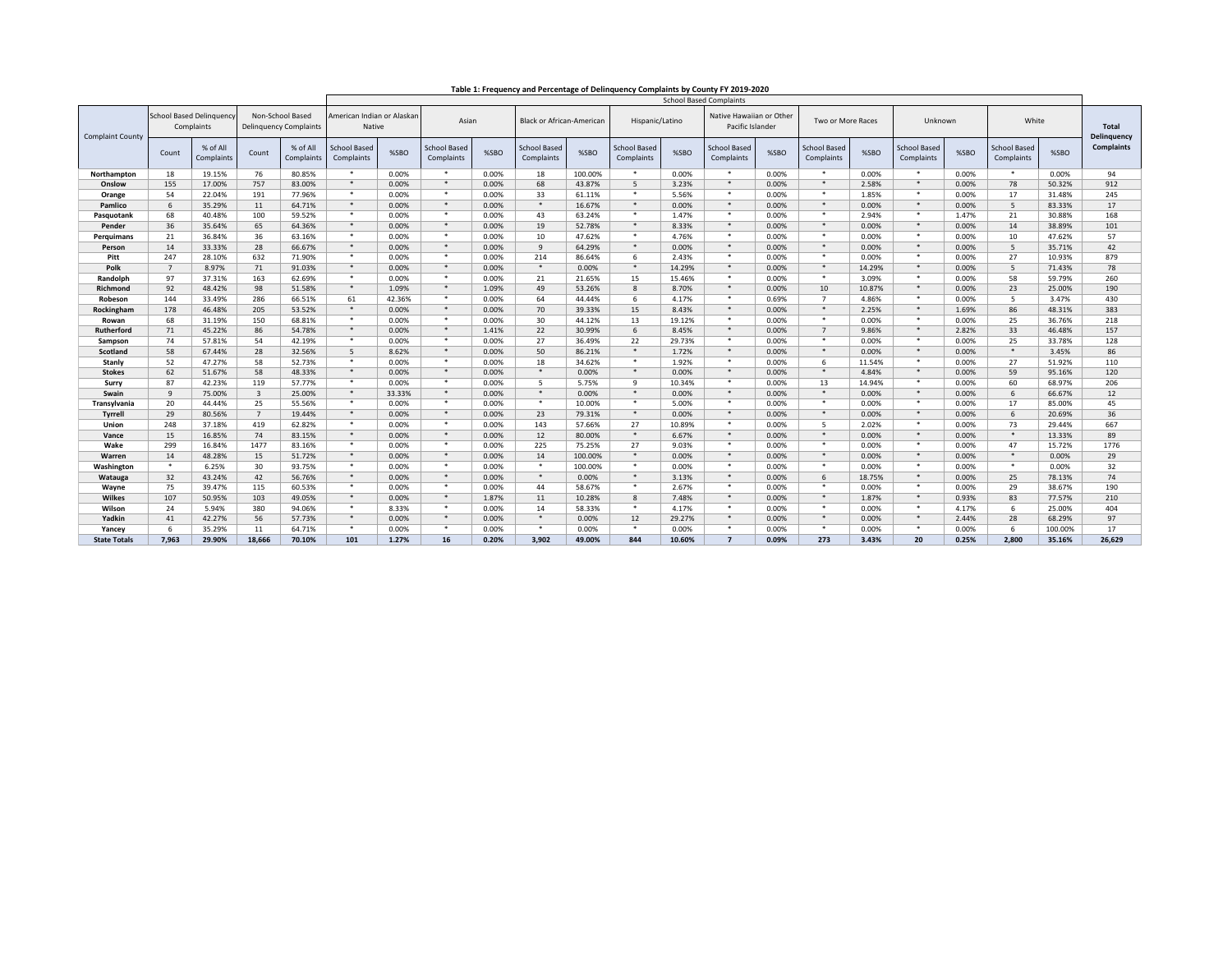|--|

| <b>School Based Delinquency</b><br>Non-School Based<br>American Indian or Alaskan<br>Native Hawaiian or Other<br>White<br>Asian<br><b>Black or African-American</b><br>Hispanic/Latino<br>Two or More Races<br>Unknown<br>Complaints<br>Native<br>Pacific Islander<br><b>Total</b><br><b>Delinguency Complaints</b><br><b>Complaint County</b><br><b>Delinquency</b><br><b>Complaints</b><br>% of All<br>% of All<br><b>School Based</b><br><b>School Based</b><br><b>School Based</b><br><b>School Based</b><br><b>School Based</b><br><b>School Based</b><br><b>School Based</b><br><b>School Based</b><br>%SBO<br>%SBO<br>%SBO<br>%SBC<br>%SBO<br>%SBO<br>%SBC<br>%SBO<br>Count<br>Count<br>Complaints<br>Complaints<br>Complaints<br>Complaints<br>Complaints<br>Complaints<br>Complaints<br>Complaints<br>Complaints<br>Complaints<br>18<br>76<br>80.85%<br>$\bullet$<br>0.00%<br>*<br>0.00%<br>- 140<br>94<br>19.15%<br>0.00%<br>*<br>18<br>100.00%<br>0.00%<br>. .<br>$\star$<br>0.00%<br>0.00%<br>- 1961<br>0.00%<br>Northampton<br>757<br>$\star$<br>$*$<br>68<br>$*$<br>$\ast$<br>912<br>155<br>0.00%<br>$5^{\circ}$<br>3.23%<br>$*$<br>2.58%<br>78<br>17.00%<br>83.00%<br>0.00%<br>43.87%<br>0.00%<br>0.00%<br>50.32%<br>Onslow<br>٠<br>$\ast$<br>54<br>191<br>33<br>5.56%<br>$\ast$<br>$\ast$<br>1.85%<br>*<br>17<br>245<br>22.04%<br>77.96%<br>0.00%<br>0.00%<br>61.11%<br>0.00%<br>0.00%<br>31.48%<br>Orange<br>11<br>$\ast$<br>$*$<br>$*$<br>16.67%<br>$*$<br>$*$<br>$*$<br>$*$<br>17<br>6<br>35.29%<br>64.71%<br>0.00%<br>0.00%<br>0.00%<br>0.00%<br>0.00%<br>0.00%<br>5<br>83.33%<br>Pamlico<br>68<br>40.48%<br>100<br>59.52%<br>٠<br>*<br>$\ast$<br>$\ast$<br>*<br>21<br>30.88%<br>168<br>0.00%<br>0.00%<br>43<br>63.24%<br>1.47%<br>0.00%<br>*<br>2.94%<br>1.47%<br>Pasquotank<br>36<br>65<br>64.36%<br>$\star$<br>$*$<br>19<br>52.78%<br>$*$<br>8.33%<br>*<br>$*$<br>$*$<br>0.00%<br>14<br>38.89%<br>101<br>35.64%<br>0.00%<br>0.00%<br>0.00%<br>0.00%<br>Pender<br>21<br>36.84%<br>36<br>٠<br>0.00%<br>$*$<br>0.00%<br>10<br>47.62%<br>۰<br>4.76%<br>$\ast$<br>0.00%<br>*<br>0.00%<br>*<br>0.00%<br>10<br>47.62%<br>57<br>63.16%<br>Perguimans<br>28<br>$\cdot$<br>14<br>$*$<br>$*$<br>$*$<br>$*$<br>$*$<br>42<br>33.33%<br>66.67%<br>0.00%<br>0.00%<br>9<br>64.29%<br>0.00%<br>0.00%<br>0.00%<br>0.00%<br>5<br>35.71%<br>Person<br>632<br>27<br>879<br>247<br>71.90%<br>٠<br>*<br>214<br>$\ast$<br>*<br>0.00%<br>*<br>Pitt<br>28.10%<br>0.00%<br>0.00%<br>86.64%<br>6<br>2.43%<br>0.00%<br>0.00%<br>10.93%<br>$\star$<br>$*$<br>$*$<br>$\ast$<br>$*$<br>$*$<br>$*$<br>78<br>Polk<br>$\overline{7}$<br>8.97%<br>71<br>14.29%<br>91.03%<br>0.00%<br>0.00%<br>0.00%<br>0.00%<br>14.29%<br>0.00%<br>5<br>71.43%<br>163<br>٠<br>$\ast$<br>*<br>*<br>58<br>260<br>97<br>37.31%<br>62.69%<br>0.00%<br>*<br>0.00%<br>21<br>21.65%<br>15<br>15.46%<br>0.00%<br>3.09%<br>0.00%<br>59.79%<br>Randolph<br>98<br>$\cdot$<br>$*$<br>49<br>$*$<br>$*$<br>23<br>190<br>92<br>48.42%<br>1.09%<br>8<br>10<br>51.58%<br>1.09%<br>53.26%<br>8.70%<br>0.00%<br>10.87%<br>0.00%<br>25.00%<br>Richmond<br>$\ast$<br>$\ast$<br>144<br>286<br>64<br>$\overline{7}$<br>*<br>430<br>33.49%<br>66.51%<br>61<br>42.36%<br>44.44%<br>-6<br>4.17%<br>4.86%<br>0.00%<br>5<br>3.47%<br>Robeson<br>0.00%<br>0.69%<br>$\star$<br>$*$<br>178<br>205<br>$*$<br>70<br>$*$<br>$*$<br>86<br>383<br>46.48%<br>53.52%<br>0.00%<br>0.00%<br>39.33%<br>15<br>8.43%<br>0.00%<br>2.25%<br>1.69%<br>48.31%<br>Rockingham<br>٠<br>30<br>$\ast$<br>*<br>*<br>68<br>150<br>*<br>0.00%<br>25<br>218<br>31.19%<br>68.81%<br>0.00%<br>0.00%<br>44.12%<br>13<br>19.12%<br>0.00%<br>0.00%<br>36.76%<br>Rowan<br>71<br>86<br>$\star$<br>$*$<br>22<br>6<br>$+$<br>$*$<br>33<br>157<br>45.22%<br>54.78%<br>0.00%<br>30.99%<br>8.45%<br>0.00%<br>$\overline{7}$<br>9.86%<br>2.82%<br>46.48%<br>1.41%<br><b>Rutherford</b><br>74<br>54<br>٠<br>*<br>27<br>$\ast$<br>*<br>*<br>128<br>57.81%<br>42.19%<br>0.00%<br>0.00%<br>36.49%<br>22<br>29.73%<br>0.00%<br>0.00%<br>0.00%<br>25<br>33.78%<br>Sampson<br>50<br>$\ast$<br>86<br>58<br>67.44%<br>28<br>32.56%<br>8.62%<br>$*$<br>0.00%<br>1.72%<br>$*$<br>0.00%<br>$*$<br>0.00%<br>$*$<br>0.00%<br>$*$<br>3.45%<br>5<br>86.21%<br>Scotland<br>58<br>٠<br>$\ast$<br>$\ast$<br>27<br>52<br>52.73%<br>$*$<br>18<br>34.62%<br>1.92%<br>$\ast$<br>11.54%<br>51.92%<br>110<br>47.27%<br>0.00%<br>0.00%<br>0.00%<br>6<br>0.00%<br>Stanly<br>58<br>$\star$<br>$*$<br>120<br>62<br>48.33%<br>$\ast$<br>$*$<br>$*$<br>$*$<br>$*$<br>59<br>51.67%<br>0.00%<br>0.00%<br>0.00%<br>0.00%<br>0.00%<br>4.84%<br>0.00%<br>95.16%<br><b>Stokes</b><br>87<br>119<br>٠<br>*<br>$\ast$<br>$\ast$<br>60<br>206<br>42.23%<br>57.77%<br>0.00%<br>0.00%<br>5<br>5.75%<br>9<br>10.34%<br>0.00%<br>13<br>14.94%<br>0.00%<br>68.97%<br>Surry<br>*<br>$\ast$<br>$*$<br>$\overline{\mathbf{3}}$<br>25.00%<br>$\ast$<br>$*$<br>0.00%<br>0.00%<br>$+$<br>0.00%<br>$*$<br>66.67%<br>12<br>$\mathbf{q}$<br>75.00%<br>33.33%<br>0.00%<br>0.00%<br>0.00%<br>Swain<br>6<br>25<br>٠<br>$\ast$<br>$\ast$<br>*<br>*<br>45<br>20<br>55.56%<br>*<br>$\ast$<br>17<br>44.44%<br>0.00%<br>0.00%<br>10.00%<br>5.00%<br>0.00%<br>0.00%<br>0.00%<br>85.00%<br>Transylvania<br>$\overline{7}$<br>$\ast$<br>$*$<br>$\ast$<br>$*$<br>$\ast$<br>$*$<br>36<br>29<br>80.56%<br>19.44%<br>0.00%<br>23<br>79.31%<br>0.00%<br>0.00%<br>0.00%<br>0.00%<br>20.69%<br>0.00%<br>6<br><b>Tyrrell</b><br>٠<br>$\ast$<br>667<br>248<br>419<br>$*$<br>143<br>$\ast$<br>73<br>37.18%<br>62.82%<br>0.00%<br>0.00%<br>57.66%<br>27<br>10.89%<br>0.00%<br>5<br>2.02%<br>0.00%<br>29.44%<br>Union<br>74<br>$\star$<br>$\ast$<br>$*$<br>$*$<br>$*$<br>15<br>0.00%<br>$*$<br>12<br>6.67%<br>0.00%<br>$*$<br>13.33%<br>89<br>16.85%<br>83.15%<br>0.00%<br>80.00%<br>0.00%<br>0.00%<br>Vance<br>1477<br>$\ddot{\phantom{1}}$<br>*<br>225<br>$\ast$<br>$\ast$<br>*<br>1776<br>299<br>83.16%<br>27<br>47<br>16.84%<br>0.00%<br>0.00%<br>75.25%<br>9.03%<br>0.00%<br>0.00%<br>0.00%<br>15.72%<br>Wake<br>15<br>$\star$<br>$*$<br>14<br>$*$<br>$+$<br>$*$<br>$*$<br>$*$<br>29<br>14<br>48.28%<br>51.72%<br>0.00%<br>0.00%<br>0.00%<br>0.00%<br>0.00%<br>100.00%<br>0.00%<br>0.00%<br>Warren<br>*<br>30<br>٠<br>$\ast$<br>۰<br>$\ast$<br>$\ast$<br>$\ast$<br>*<br>32<br>6.25%<br>93.75%<br>0.00%<br>0.00%<br>100.00%<br>0.00%<br>0.00%<br>0.00%<br>0.00%<br>₩<br>0.00%<br>Washington<br>$\star$<br>$*$<br>$*$<br>$*$<br>32<br>42<br>56.76%<br>$*$<br>0.00%<br>*<br>18.75%<br>25<br>74<br>43.24%<br>0.00%<br>0.00%<br>3.13%<br>0.00%<br>6<br>0.00%<br>78.13%<br>Watauga<br>190<br>75<br>39.47%<br>115<br>60.53%<br>٠<br>44<br>58.67%<br>۰<br>2.67%<br>$\ast$<br>0.00%<br>$\ast$<br>*<br>29<br>38.67%<br>0.00%<br>0.00%<br>0.00%<br>0.00%<br>Wayne<br>107<br>103<br>$\ast$<br>$*$<br>$*$<br>$*$<br>$*$<br>210<br>50.95%<br>49.05%<br>0.00%<br>1.87%<br>11<br>10.28%<br>8<br>7.48%<br>0.00%<br>1.87%<br>0.93%<br>83<br>77.57%<br>Wilkes<br>380<br>٠<br>$\ast$<br>*<br>404<br>24<br>5.94%<br>94.06%<br>8.33%<br>*<br>0.00%<br>14<br>58.33%<br>4.17%<br>$*$<br>0.00%<br>*<br>0.00%<br>4.17%<br>25.00%<br>Wilson<br>-6<br>$*$<br>97<br>56<br>$\ast$<br>$*$<br>$*$<br>$*$<br>$*$<br>28<br>Yadkin<br>41<br>42.27%<br>57.73%<br>0.00%<br>0.00%<br>0.00%<br>12<br>29.27%<br>0.00%<br>0.00%<br>2.44%<br>68.29%<br>*<br>$\ast$<br>*<br>17<br>35.29%<br>11<br>٠<br>0.00%<br>*<br>0.00%<br>$\ast$<br>0.00%<br>*<br>6<br>64.71%<br>0.00%<br>0.00%<br>0.00%<br>0.00%<br>100.00%<br>-6<br>Yancey<br>18.666<br>7.963<br>1.27%<br>16<br>3.902<br>844<br>10.60%<br>$\overline{7}$<br>273<br>20<br>2.800<br>26.629<br>29.90%<br>70.10%<br>101<br>0.20%<br>49.00%<br>0.09%<br>3.43%<br>0.25%<br>35.16%<br><b>State Totals</b> |  |  |  |  |  | <b>School Based Complaints</b> |  |  |  |  |  |  |  |  |  |  |  |  |  |
|------------------------------------------------------------------------------------------------------------------------------------------------------------------------------------------------------------------------------------------------------------------------------------------------------------------------------------------------------------------------------------------------------------------------------------------------------------------------------------------------------------------------------------------------------------------------------------------------------------------------------------------------------------------------------------------------------------------------------------------------------------------------------------------------------------------------------------------------------------------------------------------------------------------------------------------------------------------------------------------------------------------------------------------------------------------------------------------------------------------------------------------------------------------------------------------------------------------------------------------------------------------------------------------------------------------------------------------------------------------------------------------------------------------------------------------------------------------------------------------------------------------------------------------------------------------------------------------------------------------------------------------------------------------------------------------------------------------------------------------------------------------------------------------------------------------------------------------------------------------------------------------------------------------------------------------------------------------------------------------------------------------------------------------------------------------------------------------------------------------------------------------------------------------------------------------------------------------------------------------------------------------------------------------------------------------------------------------------------------------------------------------------------------------------------------------------------------------------------------------------------------------------------------------------------------------------------------------------------------------------------------------------------------------------------------------------------------------------------------------------------------------------------------------------------------------------------------------------------------------------------------------------------------------------------------------------------------------------------------------------------------------------------------------------------------------------------------------------------------------------------------------------------------------------------------------------------------------------------------------------------------------------------------------------------------------------------------------------------------------------------------------------------------------------------------------------------------------------------------------------------------------------------------------------------------------------------------------------------------------------------------------------------------------------------------------------------------------------------------------------------------------------------------------------------------------------------------------------------------------------------------------------------------------------------------------------------------------------------------------------------------------------------------------------------------------------------------------------------------------------------------------------------------------------------------------------------------------------------------------------------------------------------------------------------------------------------------------------------------------------------------------------------------------------------------------------------------------------------------------------------------------------------------------------------------------------------------------------------------------------------------------------------------------------------------------------------------------------------------------------------------------------------------------------------------------------------------------------------------------------------------------------------------------------------------------------------------------------------------------------------------------------------------------------------------------------------------------------------------------------------------------------------------------------------------------------------------------------------------------------------------------------------------------------------------------------------------------------------------------------------------------------------------------------------------------------------------------------------------------------------------------------------------------------------------------------------------------------------------------------------------------------------------------------------------------------------------------------------------------------------------------------------------------------------------------------------------------------------------------------------------------------------------------------------------------------------------------------------------------------------------------------------------------------------------------------------------------------------------------------------------------------------------------------------------------------------------------------------------------------------------------------------------------------------------------------------------------------------------------------------------------------------------------------------------------------------------------------------------------------------------------------------------------------------------------------------------------------------------------------------------------------------------------------------------------------------------------------------------------------------------------------------------------------------------------------------------------------------------------------------------------------------------------------------------------------------------------------------------------------------------------------------------------------------------------------------------------------------------------------------------------------------------------------------------------------------------------------------------------------------------------------------------------------------------------------------------------------------------------------------------------------------------------------------------------------------------------------------------------------------------------------------------------------------------------------------------------------------------------------------------------------------------------------------------------------------------------------------------|--|--|--|--|--|--------------------------------|--|--|--|--|--|--|--|--|--|--|--|--|--|
|                                                                                                                                                                                                                                                                                                                                                                                                                                                                                                                                                                                                                                                                                                                                                                                                                                                                                                                                                                                                                                                                                                                                                                                                                                                                                                                                                                                                                                                                                                                                                                                                                                                                                                                                                                                                                                                                                                                                                                                                                                                                                                                                                                                                                                                                                                                                                                                                                                                                                                                                                                                                                                                                                                                                                                                                                                                                                                                                                                                                                                                                                                                                                                                                                                                                                                                                                                                                                                                                                                                                                                                                                                                                                                                                                                                                                                                                                                                                                                                                                                                                                                                                                                                                                                                                                                                                                                                                                                                                                                                                                                                                                                                                                                                                                                                                                                                                                                                                                                                                                                                                                                                                                                                                                                                                                                                                                                                                                                                                                                                                                                                                                                                                                                                                                                                                                                                                                                                                                                                                                                                                                                                                                                                                                                                                                                                                                                                                                                                                                                                                                                                                                                                                                                                                                                                                                                                                                                                                                                                                                                                                                                                                                                                                                                                                                                                                                                                                                                                                                                                                                                                                                                                                                                                                    |  |  |  |  |  |                                |  |  |  |  |  |  |  |  |  |  |  |  |  |
|                                                                                                                                                                                                                                                                                                                                                                                                                                                                                                                                                                                                                                                                                                                                                                                                                                                                                                                                                                                                                                                                                                                                                                                                                                                                                                                                                                                                                                                                                                                                                                                                                                                                                                                                                                                                                                                                                                                                                                                                                                                                                                                                                                                                                                                                                                                                                                                                                                                                                                                                                                                                                                                                                                                                                                                                                                                                                                                                                                                                                                                                                                                                                                                                                                                                                                                                                                                                                                                                                                                                                                                                                                                                                                                                                                                                                                                                                                                                                                                                                                                                                                                                                                                                                                                                                                                                                                                                                                                                                                                                                                                                                                                                                                                                                                                                                                                                                                                                                                                                                                                                                                                                                                                                                                                                                                                                                                                                                                                                                                                                                                                                                                                                                                                                                                                                                                                                                                                                                                                                                                                                                                                                                                                                                                                                                                                                                                                                                                                                                                                                                                                                                                                                                                                                                                                                                                                                                                                                                                                                                                                                                                                                                                                                                                                                                                                                                                                                                                                                                                                                                                                                                                                                                                                                    |  |  |  |  |  |                                |  |  |  |  |  |  |  |  |  |  |  |  |  |
|                                                                                                                                                                                                                                                                                                                                                                                                                                                                                                                                                                                                                                                                                                                                                                                                                                                                                                                                                                                                                                                                                                                                                                                                                                                                                                                                                                                                                                                                                                                                                                                                                                                                                                                                                                                                                                                                                                                                                                                                                                                                                                                                                                                                                                                                                                                                                                                                                                                                                                                                                                                                                                                                                                                                                                                                                                                                                                                                                                                                                                                                                                                                                                                                                                                                                                                                                                                                                                                                                                                                                                                                                                                                                                                                                                                                                                                                                                                                                                                                                                                                                                                                                                                                                                                                                                                                                                                                                                                                                                                                                                                                                                                                                                                                                                                                                                                                                                                                                                                                                                                                                                                                                                                                                                                                                                                                                                                                                                                                                                                                                                                                                                                                                                                                                                                                                                                                                                                                                                                                                                                                                                                                                                                                                                                                                                                                                                                                                                                                                                                                                                                                                                                                                                                                                                                                                                                                                                                                                                                                                                                                                                                                                                                                                                                                                                                                                                                                                                                                                                                                                                                                                                                                                                                                    |  |  |  |  |  |                                |  |  |  |  |  |  |  |  |  |  |  |  |  |
|                                                                                                                                                                                                                                                                                                                                                                                                                                                                                                                                                                                                                                                                                                                                                                                                                                                                                                                                                                                                                                                                                                                                                                                                                                                                                                                                                                                                                                                                                                                                                                                                                                                                                                                                                                                                                                                                                                                                                                                                                                                                                                                                                                                                                                                                                                                                                                                                                                                                                                                                                                                                                                                                                                                                                                                                                                                                                                                                                                                                                                                                                                                                                                                                                                                                                                                                                                                                                                                                                                                                                                                                                                                                                                                                                                                                                                                                                                                                                                                                                                                                                                                                                                                                                                                                                                                                                                                                                                                                                                                                                                                                                                                                                                                                                                                                                                                                                                                                                                                                                                                                                                                                                                                                                                                                                                                                                                                                                                                                                                                                                                                                                                                                                                                                                                                                                                                                                                                                                                                                                                                                                                                                                                                                                                                                                                                                                                                                                                                                                                                                                                                                                                                                                                                                                                                                                                                                                                                                                                                                                                                                                                                                                                                                                                                                                                                                                                                                                                                                                                                                                                                                                                                                                                                                    |  |  |  |  |  |                                |  |  |  |  |  |  |  |  |  |  |  |  |  |
|                                                                                                                                                                                                                                                                                                                                                                                                                                                                                                                                                                                                                                                                                                                                                                                                                                                                                                                                                                                                                                                                                                                                                                                                                                                                                                                                                                                                                                                                                                                                                                                                                                                                                                                                                                                                                                                                                                                                                                                                                                                                                                                                                                                                                                                                                                                                                                                                                                                                                                                                                                                                                                                                                                                                                                                                                                                                                                                                                                                                                                                                                                                                                                                                                                                                                                                                                                                                                                                                                                                                                                                                                                                                                                                                                                                                                                                                                                                                                                                                                                                                                                                                                                                                                                                                                                                                                                                                                                                                                                                                                                                                                                                                                                                                                                                                                                                                                                                                                                                                                                                                                                                                                                                                                                                                                                                                                                                                                                                                                                                                                                                                                                                                                                                                                                                                                                                                                                                                                                                                                                                                                                                                                                                                                                                                                                                                                                                                                                                                                                                                                                                                                                                                                                                                                                                                                                                                                                                                                                                                                                                                                                                                                                                                                                                                                                                                                                                                                                                                                                                                                                                                                                                                                                                                    |  |  |  |  |  |                                |  |  |  |  |  |  |  |  |  |  |  |  |  |
|                                                                                                                                                                                                                                                                                                                                                                                                                                                                                                                                                                                                                                                                                                                                                                                                                                                                                                                                                                                                                                                                                                                                                                                                                                                                                                                                                                                                                                                                                                                                                                                                                                                                                                                                                                                                                                                                                                                                                                                                                                                                                                                                                                                                                                                                                                                                                                                                                                                                                                                                                                                                                                                                                                                                                                                                                                                                                                                                                                                                                                                                                                                                                                                                                                                                                                                                                                                                                                                                                                                                                                                                                                                                                                                                                                                                                                                                                                                                                                                                                                                                                                                                                                                                                                                                                                                                                                                                                                                                                                                                                                                                                                                                                                                                                                                                                                                                                                                                                                                                                                                                                                                                                                                                                                                                                                                                                                                                                                                                                                                                                                                                                                                                                                                                                                                                                                                                                                                                                                                                                                                                                                                                                                                                                                                                                                                                                                                                                                                                                                                                                                                                                                                                                                                                                                                                                                                                                                                                                                                                                                                                                                                                                                                                                                                                                                                                                                                                                                                                                                                                                                                                                                                                                                                                    |  |  |  |  |  |                                |  |  |  |  |  |  |  |  |  |  |  |  |  |
|                                                                                                                                                                                                                                                                                                                                                                                                                                                                                                                                                                                                                                                                                                                                                                                                                                                                                                                                                                                                                                                                                                                                                                                                                                                                                                                                                                                                                                                                                                                                                                                                                                                                                                                                                                                                                                                                                                                                                                                                                                                                                                                                                                                                                                                                                                                                                                                                                                                                                                                                                                                                                                                                                                                                                                                                                                                                                                                                                                                                                                                                                                                                                                                                                                                                                                                                                                                                                                                                                                                                                                                                                                                                                                                                                                                                                                                                                                                                                                                                                                                                                                                                                                                                                                                                                                                                                                                                                                                                                                                                                                                                                                                                                                                                                                                                                                                                                                                                                                                                                                                                                                                                                                                                                                                                                                                                                                                                                                                                                                                                                                                                                                                                                                                                                                                                                                                                                                                                                                                                                                                                                                                                                                                                                                                                                                                                                                                                                                                                                                                                                                                                                                                                                                                                                                                                                                                                                                                                                                                                                                                                                                                                                                                                                                                                                                                                                                                                                                                                                                                                                                                                                                                                                                                                    |  |  |  |  |  |                                |  |  |  |  |  |  |  |  |  |  |  |  |  |
|                                                                                                                                                                                                                                                                                                                                                                                                                                                                                                                                                                                                                                                                                                                                                                                                                                                                                                                                                                                                                                                                                                                                                                                                                                                                                                                                                                                                                                                                                                                                                                                                                                                                                                                                                                                                                                                                                                                                                                                                                                                                                                                                                                                                                                                                                                                                                                                                                                                                                                                                                                                                                                                                                                                                                                                                                                                                                                                                                                                                                                                                                                                                                                                                                                                                                                                                                                                                                                                                                                                                                                                                                                                                                                                                                                                                                                                                                                                                                                                                                                                                                                                                                                                                                                                                                                                                                                                                                                                                                                                                                                                                                                                                                                                                                                                                                                                                                                                                                                                                                                                                                                                                                                                                                                                                                                                                                                                                                                                                                                                                                                                                                                                                                                                                                                                                                                                                                                                                                                                                                                                                                                                                                                                                                                                                                                                                                                                                                                                                                                                                                                                                                                                                                                                                                                                                                                                                                                                                                                                                                                                                                                                                                                                                                                                                                                                                                                                                                                                                                                                                                                                                                                                                                                                                    |  |  |  |  |  |                                |  |  |  |  |  |  |  |  |  |  |  |  |  |
|                                                                                                                                                                                                                                                                                                                                                                                                                                                                                                                                                                                                                                                                                                                                                                                                                                                                                                                                                                                                                                                                                                                                                                                                                                                                                                                                                                                                                                                                                                                                                                                                                                                                                                                                                                                                                                                                                                                                                                                                                                                                                                                                                                                                                                                                                                                                                                                                                                                                                                                                                                                                                                                                                                                                                                                                                                                                                                                                                                                                                                                                                                                                                                                                                                                                                                                                                                                                                                                                                                                                                                                                                                                                                                                                                                                                                                                                                                                                                                                                                                                                                                                                                                                                                                                                                                                                                                                                                                                                                                                                                                                                                                                                                                                                                                                                                                                                                                                                                                                                                                                                                                                                                                                                                                                                                                                                                                                                                                                                                                                                                                                                                                                                                                                                                                                                                                                                                                                                                                                                                                                                                                                                                                                                                                                                                                                                                                                                                                                                                                                                                                                                                                                                                                                                                                                                                                                                                                                                                                                                                                                                                                                                                                                                                                                                                                                                                                                                                                                                                                                                                                                                                                                                                                                                    |  |  |  |  |  |                                |  |  |  |  |  |  |  |  |  |  |  |  |  |
|                                                                                                                                                                                                                                                                                                                                                                                                                                                                                                                                                                                                                                                                                                                                                                                                                                                                                                                                                                                                                                                                                                                                                                                                                                                                                                                                                                                                                                                                                                                                                                                                                                                                                                                                                                                                                                                                                                                                                                                                                                                                                                                                                                                                                                                                                                                                                                                                                                                                                                                                                                                                                                                                                                                                                                                                                                                                                                                                                                                                                                                                                                                                                                                                                                                                                                                                                                                                                                                                                                                                                                                                                                                                                                                                                                                                                                                                                                                                                                                                                                                                                                                                                                                                                                                                                                                                                                                                                                                                                                                                                                                                                                                                                                                                                                                                                                                                                                                                                                                                                                                                                                                                                                                                                                                                                                                                                                                                                                                                                                                                                                                                                                                                                                                                                                                                                                                                                                                                                                                                                                                                                                                                                                                                                                                                                                                                                                                                                                                                                                                                                                                                                                                                                                                                                                                                                                                                                                                                                                                                                                                                                                                                                                                                                                                                                                                                                                                                                                                                                                                                                                                                                                                                                                                                    |  |  |  |  |  |                                |  |  |  |  |  |  |  |  |  |  |  |  |  |
|                                                                                                                                                                                                                                                                                                                                                                                                                                                                                                                                                                                                                                                                                                                                                                                                                                                                                                                                                                                                                                                                                                                                                                                                                                                                                                                                                                                                                                                                                                                                                                                                                                                                                                                                                                                                                                                                                                                                                                                                                                                                                                                                                                                                                                                                                                                                                                                                                                                                                                                                                                                                                                                                                                                                                                                                                                                                                                                                                                                                                                                                                                                                                                                                                                                                                                                                                                                                                                                                                                                                                                                                                                                                                                                                                                                                                                                                                                                                                                                                                                                                                                                                                                                                                                                                                                                                                                                                                                                                                                                                                                                                                                                                                                                                                                                                                                                                                                                                                                                                                                                                                                                                                                                                                                                                                                                                                                                                                                                                                                                                                                                                                                                                                                                                                                                                                                                                                                                                                                                                                                                                                                                                                                                                                                                                                                                                                                                                                                                                                                                                                                                                                                                                                                                                                                                                                                                                                                                                                                                                                                                                                                                                                                                                                                                                                                                                                                                                                                                                                                                                                                                                                                                                                                                                    |  |  |  |  |  |                                |  |  |  |  |  |  |  |  |  |  |  |  |  |
|                                                                                                                                                                                                                                                                                                                                                                                                                                                                                                                                                                                                                                                                                                                                                                                                                                                                                                                                                                                                                                                                                                                                                                                                                                                                                                                                                                                                                                                                                                                                                                                                                                                                                                                                                                                                                                                                                                                                                                                                                                                                                                                                                                                                                                                                                                                                                                                                                                                                                                                                                                                                                                                                                                                                                                                                                                                                                                                                                                                                                                                                                                                                                                                                                                                                                                                                                                                                                                                                                                                                                                                                                                                                                                                                                                                                                                                                                                                                                                                                                                                                                                                                                                                                                                                                                                                                                                                                                                                                                                                                                                                                                                                                                                                                                                                                                                                                                                                                                                                                                                                                                                                                                                                                                                                                                                                                                                                                                                                                                                                                                                                                                                                                                                                                                                                                                                                                                                                                                                                                                                                                                                                                                                                                                                                                                                                                                                                                                                                                                                                                                                                                                                                                                                                                                                                                                                                                                                                                                                                                                                                                                                                                                                                                                                                                                                                                                                                                                                                                                                                                                                                                                                                                                                                                    |  |  |  |  |  |                                |  |  |  |  |  |  |  |  |  |  |  |  |  |
|                                                                                                                                                                                                                                                                                                                                                                                                                                                                                                                                                                                                                                                                                                                                                                                                                                                                                                                                                                                                                                                                                                                                                                                                                                                                                                                                                                                                                                                                                                                                                                                                                                                                                                                                                                                                                                                                                                                                                                                                                                                                                                                                                                                                                                                                                                                                                                                                                                                                                                                                                                                                                                                                                                                                                                                                                                                                                                                                                                                                                                                                                                                                                                                                                                                                                                                                                                                                                                                                                                                                                                                                                                                                                                                                                                                                                                                                                                                                                                                                                                                                                                                                                                                                                                                                                                                                                                                                                                                                                                                                                                                                                                                                                                                                                                                                                                                                                                                                                                                                                                                                                                                                                                                                                                                                                                                                                                                                                                                                                                                                                                                                                                                                                                                                                                                                                                                                                                                                                                                                                                                                                                                                                                                                                                                                                                                                                                                                                                                                                                                                                                                                                                                                                                                                                                                                                                                                                                                                                                                                                                                                                                                                                                                                                                                                                                                                                                                                                                                                                                                                                                                                                                                                                                                                    |  |  |  |  |  |                                |  |  |  |  |  |  |  |  |  |  |  |  |  |
|                                                                                                                                                                                                                                                                                                                                                                                                                                                                                                                                                                                                                                                                                                                                                                                                                                                                                                                                                                                                                                                                                                                                                                                                                                                                                                                                                                                                                                                                                                                                                                                                                                                                                                                                                                                                                                                                                                                                                                                                                                                                                                                                                                                                                                                                                                                                                                                                                                                                                                                                                                                                                                                                                                                                                                                                                                                                                                                                                                                                                                                                                                                                                                                                                                                                                                                                                                                                                                                                                                                                                                                                                                                                                                                                                                                                                                                                                                                                                                                                                                                                                                                                                                                                                                                                                                                                                                                                                                                                                                                                                                                                                                                                                                                                                                                                                                                                                                                                                                                                                                                                                                                                                                                                                                                                                                                                                                                                                                                                                                                                                                                                                                                                                                                                                                                                                                                                                                                                                                                                                                                                                                                                                                                                                                                                                                                                                                                                                                                                                                                                                                                                                                                                                                                                                                                                                                                                                                                                                                                                                                                                                                                                                                                                                                                                                                                                                                                                                                                                                                                                                                                                                                                                                                                                    |  |  |  |  |  |                                |  |  |  |  |  |  |  |  |  |  |  |  |  |
|                                                                                                                                                                                                                                                                                                                                                                                                                                                                                                                                                                                                                                                                                                                                                                                                                                                                                                                                                                                                                                                                                                                                                                                                                                                                                                                                                                                                                                                                                                                                                                                                                                                                                                                                                                                                                                                                                                                                                                                                                                                                                                                                                                                                                                                                                                                                                                                                                                                                                                                                                                                                                                                                                                                                                                                                                                                                                                                                                                                                                                                                                                                                                                                                                                                                                                                                                                                                                                                                                                                                                                                                                                                                                                                                                                                                                                                                                                                                                                                                                                                                                                                                                                                                                                                                                                                                                                                                                                                                                                                                                                                                                                                                                                                                                                                                                                                                                                                                                                                                                                                                                                                                                                                                                                                                                                                                                                                                                                                                                                                                                                                                                                                                                                                                                                                                                                                                                                                                                                                                                                                                                                                                                                                                                                                                                                                                                                                                                                                                                                                                                                                                                                                                                                                                                                                                                                                                                                                                                                                                                                                                                                                                                                                                                                                                                                                                                                                                                                                                                                                                                                                                                                                                                                                                    |  |  |  |  |  |                                |  |  |  |  |  |  |  |  |  |  |  |  |  |
|                                                                                                                                                                                                                                                                                                                                                                                                                                                                                                                                                                                                                                                                                                                                                                                                                                                                                                                                                                                                                                                                                                                                                                                                                                                                                                                                                                                                                                                                                                                                                                                                                                                                                                                                                                                                                                                                                                                                                                                                                                                                                                                                                                                                                                                                                                                                                                                                                                                                                                                                                                                                                                                                                                                                                                                                                                                                                                                                                                                                                                                                                                                                                                                                                                                                                                                                                                                                                                                                                                                                                                                                                                                                                                                                                                                                                                                                                                                                                                                                                                                                                                                                                                                                                                                                                                                                                                                                                                                                                                                                                                                                                                                                                                                                                                                                                                                                                                                                                                                                                                                                                                                                                                                                                                                                                                                                                                                                                                                                                                                                                                                                                                                                                                                                                                                                                                                                                                                                                                                                                                                                                                                                                                                                                                                                                                                                                                                                                                                                                                                                                                                                                                                                                                                                                                                                                                                                                                                                                                                                                                                                                                                                                                                                                                                                                                                                                                                                                                                                                                                                                                                                                                                                                                                                    |  |  |  |  |  |                                |  |  |  |  |  |  |  |  |  |  |  |  |  |
|                                                                                                                                                                                                                                                                                                                                                                                                                                                                                                                                                                                                                                                                                                                                                                                                                                                                                                                                                                                                                                                                                                                                                                                                                                                                                                                                                                                                                                                                                                                                                                                                                                                                                                                                                                                                                                                                                                                                                                                                                                                                                                                                                                                                                                                                                                                                                                                                                                                                                                                                                                                                                                                                                                                                                                                                                                                                                                                                                                                                                                                                                                                                                                                                                                                                                                                                                                                                                                                                                                                                                                                                                                                                                                                                                                                                                                                                                                                                                                                                                                                                                                                                                                                                                                                                                                                                                                                                                                                                                                                                                                                                                                                                                                                                                                                                                                                                                                                                                                                                                                                                                                                                                                                                                                                                                                                                                                                                                                                                                                                                                                                                                                                                                                                                                                                                                                                                                                                                                                                                                                                                                                                                                                                                                                                                                                                                                                                                                                                                                                                                                                                                                                                                                                                                                                                                                                                                                                                                                                                                                                                                                                                                                                                                                                                                                                                                                                                                                                                                                                                                                                                                                                                                                                                                    |  |  |  |  |  |                                |  |  |  |  |  |  |  |  |  |  |  |  |  |
|                                                                                                                                                                                                                                                                                                                                                                                                                                                                                                                                                                                                                                                                                                                                                                                                                                                                                                                                                                                                                                                                                                                                                                                                                                                                                                                                                                                                                                                                                                                                                                                                                                                                                                                                                                                                                                                                                                                                                                                                                                                                                                                                                                                                                                                                                                                                                                                                                                                                                                                                                                                                                                                                                                                                                                                                                                                                                                                                                                                                                                                                                                                                                                                                                                                                                                                                                                                                                                                                                                                                                                                                                                                                                                                                                                                                                                                                                                                                                                                                                                                                                                                                                                                                                                                                                                                                                                                                                                                                                                                                                                                                                                                                                                                                                                                                                                                                                                                                                                                                                                                                                                                                                                                                                                                                                                                                                                                                                                                                                                                                                                                                                                                                                                                                                                                                                                                                                                                                                                                                                                                                                                                                                                                                                                                                                                                                                                                                                                                                                                                                                                                                                                                                                                                                                                                                                                                                                                                                                                                                                                                                                                                                                                                                                                                                                                                                                                                                                                                                                                                                                                                                                                                                                                                                    |  |  |  |  |  |                                |  |  |  |  |  |  |  |  |  |  |  |  |  |
|                                                                                                                                                                                                                                                                                                                                                                                                                                                                                                                                                                                                                                                                                                                                                                                                                                                                                                                                                                                                                                                                                                                                                                                                                                                                                                                                                                                                                                                                                                                                                                                                                                                                                                                                                                                                                                                                                                                                                                                                                                                                                                                                                                                                                                                                                                                                                                                                                                                                                                                                                                                                                                                                                                                                                                                                                                                                                                                                                                                                                                                                                                                                                                                                                                                                                                                                                                                                                                                                                                                                                                                                                                                                                                                                                                                                                                                                                                                                                                                                                                                                                                                                                                                                                                                                                                                                                                                                                                                                                                                                                                                                                                                                                                                                                                                                                                                                                                                                                                                                                                                                                                                                                                                                                                                                                                                                                                                                                                                                                                                                                                                                                                                                                                                                                                                                                                                                                                                                                                                                                                                                                                                                                                                                                                                                                                                                                                                                                                                                                                                                                                                                                                                                                                                                                                                                                                                                                                                                                                                                                                                                                                                                                                                                                                                                                                                                                                                                                                                                                                                                                                                                                                                                                                                                    |  |  |  |  |  |                                |  |  |  |  |  |  |  |  |  |  |  |  |  |
|                                                                                                                                                                                                                                                                                                                                                                                                                                                                                                                                                                                                                                                                                                                                                                                                                                                                                                                                                                                                                                                                                                                                                                                                                                                                                                                                                                                                                                                                                                                                                                                                                                                                                                                                                                                                                                                                                                                                                                                                                                                                                                                                                                                                                                                                                                                                                                                                                                                                                                                                                                                                                                                                                                                                                                                                                                                                                                                                                                                                                                                                                                                                                                                                                                                                                                                                                                                                                                                                                                                                                                                                                                                                                                                                                                                                                                                                                                                                                                                                                                                                                                                                                                                                                                                                                                                                                                                                                                                                                                                                                                                                                                                                                                                                                                                                                                                                                                                                                                                                                                                                                                                                                                                                                                                                                                                                                                                                                                                                                                                                                                                                                                                                                                                                                                                                                                                                                                                                                                                                                                                                                                                                                                                                                                                                                                                                                                                                                                                                                                                                                                                                                                                                                                                                                                                                                                                                                                                                                                                                                                                                                                                                                                                                                                                                                                                                                                                                                                                                                                                                                                                                                                                                                                                                    |  |  |  |  |  |                                |  |  |  |  |  |  |  |  |  |  |  |  |  |
|                                                                                                                                                                                                                                                                                                                                                                                                                                                                                                                                                                                                                                                                                                                                                                                                                                                                                                                                                                                                                                                                                                                                                                                                                                                                                                                                                                                                                                                                                                                                                                                                                                                                                                                                                                                                                                                                                                                                                                                                                                                                                                                                                                                                                                                                                                                                                                                                                                                                                                                                                                                                                                                                                                                                                                                                                                                                                                                                                                                                                                                                                                                                                                                                                                                                                                                                                                                                                                                                                                                                                                                                                                                                                                                                                                                                                                                                                                                                                                                                                                                                                                                                                                                                                                                                                                                                                                                                                                                                                                                                                                                                                                                                                                                                                                                                                                                                                                                                                                                                                                                                                                                                                                                                                                                                                                                                                                                                                                                                                                                                                                                                                                                                                                                                                                                                                                                                                                                                                                                                                                                                                                                                                                                                                                                                                                                                                                                                                                                                                                                                                                                                                                                                                                                                                                                                                                                                                                                                                                                                                                                                                                                                                                                                                                                                                                                                                                                                                                                                                                                                                                                                                                                                                                                                    |  |  |  |  |  |                                |  |  |  |  |  |  |  |  |  |  |  |  |  |
|                                                                                                                                                                                                                                                                                                                                                                                                                                                                                                                                                                                                                                                                                                                                                                                                                                                                                                                                                                                                                                                                                                                                                                                                                                                                                                                                                                                                                                                                                                                                                                                                                                                                                                                                                                                                                                                                                                                                                                                                                                                                                                                                                                                                                                                                                                                                                                                                                                                                                                                                                                                                                                                                                                                                                                                                                                                                                                                                                                                                                                                                                                                                                                                                                                                                                                                                                                                                                                                                                                                                                                                                                                                                                                                                                                                                                                                                                                                                                                                                                                                                                                                                                                                                                                                                                                                                                                                                                                                                                                                                                                                                                                                                                                                                                                                                                                                                                                                                                                                                                                                                                                                                                                                                                                                                                                                                                                                                                                                                                                                                                                                                                                                                                                                                                                                                                                                                                                                                                                                                                                                                                                                                                                                                                                                                                                                                                                                                                                                                                                                                                                                                                                                                                                                                                                                                                                                                                                                                                                                                                                                                                                                                                                                                                                                                                                                                                                                                                                                                                                                                                                                                                                                                                                                                    |  |  |  |  |  |                                |  |  |  |  |  |  |  |  |  |  |  |  |  |
|                                                                                                                                                                                                                                                                                                                                                                                                                                                                                                                                                                                                                                                                                                                                                                                                                                                                                                                                                                                                                                                                                                                                                                                                                                                                                                                                                                                                                                                                                                                                                                                                                                                                                                                                                                                                                                                                                                                                                                                                                                                                                                                                                                                                                                                                                                                                                                                                                                                                                                                                                                                                                                                                                                                                                                                                                                                                                                                                                                                                                                                                                                                                                                                                                                                                                                                                                                                                                                                                                                                                                                                                                                                                                                                                                                                                                                                                                                                                                                                                                                                                                                                                                                                                                                                                                                                                                                                                                                                                                                                                                                                                                                                                                                                                                                                                                                                                                                                                                                                                                                                                                                                                                                                                                                                                                                                                                                                                                                                                                                                                                                                                                                                                                                                                                                                                                                                                                                                                                                                                                                                                                                                                                                                                                                                                                                                                                                                                                                                                                                                                                                                                                                                                                                                                                                                                                                                                                                                                                                                                                                                                                                                                                                                                                                                                                                                                                                                                                                                                                                                                                                                                                                                                                                                                    |  |  |  |  |  |                                |  |  |  |  |  |  |  |  |  |  |  |  |  |
|                                                                                                                                                                                                                                                                                                                                                                                                                                                                                                                                                                                                                                                                                                                                                                                                                                                                                                                                                                                                                                                                                                                                                                                                                                                                                                                                                                                                                                                                                                                                                                                                                                                                                                                                                                                                                                                                                                                                                                                                                                                                                                                                                                                                                                                                                                                                                                                                                                                                                                                                                                                                                                                                                                                                                                                                                                                                                                                                                                                                                                                                                                                                                                                                                                                                                                                                                                                                                                                                                                                                                                                                                                                                                                                                                                                                                                                                                                                                                                                                                                                                                                                                                                                                                                                                                                                                                                                                                                                                                                                                                                                                                                                                                                                                                                                                                                                                                                                                                                                                                                                                                                                                                                                                                                                                                                                                                                                                                                                                                                                                                                                                                                                                                                                                                                                                                                                                                                                                                                                                                                                                                                                                                                                                                                                                                                                                                                                                                                                                                                                                                                                                                                                                                                                                                                                                                                                                                                                                                                                                                                                                                                                                                                                                                                                                                                                                                                                                                                                                                                                                                                                                                                                                                                                                    |  |  |  |  |  |                                |  |  |  |  |  |  |  |  |  |  |  |  |  |
|                                                                                                                                                                                                                                                                                                                                                                                                                                                                                                                                                                                                                                                                                                                                                                                                                                                                                                                                                                                                                                                                                                                                                                                                                                                                                                                                                                                                                                                                                                                                                                                                                                                                                                                                                                                                                                                                                                                                                                                                                                                                                                                                                                                                                                                                                                                                                                                                                                                                                                                                                                                                                                                                                                                                                                                                                                                                                                                                                                                                                                                                                                                                                                                                                                                                                                                                                                                                                                                                                                                                                                                                                                                                                                                                                                                                                                                                                                                                                                                                                                                                                                                                                                                                                                                                                                                                                                                                                                                                                                                                                                                                                                                                                                                                                                                                                                                                                                                                                                                                                                                                                                                                                                                                                                                                                                                                                                                                                                                                                                                                                                                                                                                                                                                                                                                                                                                                                                                                                                                                                                                                                                                                                                                                                                                                                                                                                                                                                                                                                                                                                                                                                                                                                                                                                                                                                                                                                                                                                                                                                                                                                                                                                                                                                                                                                                                                                                                                                                                                                                                                                                                                                                                                                                                                    |  |  |  |  |  |                                |  |  |  |  |  |  |  |  |  |  |  |  |  |
|                                                                                                                                                                                                                                                                                                                                                                                                                                                                                                                                                                                                                                                                                                                                                                                                                                                                                                                                                                                                                                                                                                                                                                                                                                                                                                                                                                                                                                                                                                                                                                                                                                                                                                                                                                                                                                                                                                                                                                                                                                                                                                                                                                                                                                                                                                                                                                                                                                                                                                                                                                                                                                                                                                                                                                                                                                                                                                                                                                                                                                                                                                                                                                                                                                                                                                                                                                                                                                                                                                                                                                                                                                                                                                                                                                                                                                                                                                                                                                                                                                                                                                                                                                                                                                                                                                                                                                                                                                                                                                                                                                                                                                                                                                                                                                                                                                                                                                                                                                                                                                                                                                                                                                                                                                                                                                                                                                                                                                                                                                                                                                                                                                                                                                                                                                                                                                                                                                                                                                                                                                                                                                                                                                                                                                                                                                                                                                                                                                                                                                                                                                                                                                                                                                                                                                                                                                                                                                                                                                                                                                                                                                                                                                                                                                                                                                                                                                                                                                                                                                                                                                                                                                                                                                                                    |  |  |  |  |  |                                |  |  |  |  |  |  |  |  |  |  |  |  |  |
|                                                                                                                                                                                                                                                                                                                                                                                                                                                                                                                                                                                                                                                                                                                                                                                                                                                                                                                                                                                                                                                                                                                                                                                                                                                                                                                                                                                                                                                                                                                                                                                                                                                                                                                                                                                                                                                                                                                                                                                                                                                                                                                                                                                                                                                                                                                                                                                                                                                                                                                                                                                                                                                                                                                                                                                                                                                                                                                                                                                                                                                                                                                                                                                                                                                                                                                                                                                                                                                                                                                                                                                                                                                                                                                                                                                                                                                                                                                                                                                                                                                                                                                                                                                                                                                                                                                                                                                                                                                                                                                                                                                                                                                                                                                                                                                                                                                                                                                                                                                                                                                                                                                                                                                                                                                                                                                                                                                                                                                                                                                                                                                                                                                                                                                                                                                                                                                                                                                                                                                                                                                                                                                                                                                                                                                                                                                                                                                                                                                                                                                                                                                                                                                                                                                                                                                                                                                                                                                                                                                                                                                                                                                                                                                                                                                                                                                                                                                                                                                                                                                                                                                                                                                                                                                                    |  |  |  |  |  |                                |  |  |  |  |  |  |  |  |  |  |  |  |  |
|                                                                                                                                                                                                                                                                                                                                                                                                                                                                                                                                                                                                                                                                                                                                                                                                                                                                                                                                                                                                                                                                                                                                                                                                                                                                                                                                                                                                                                                                                                                                                                                                                                                                                                                                                                                                                                                                                                                                                                                                                                                                                                                                                                                                                                                                                                                                                                                                                                                                                                                                                                                                                                                                                                                                                                                                                                                                                                                                                                                                                                                                                                                                                                                                                                                                                                                                                                                                                                                                                                                                                                                                                                                                                                                                                                                                                                                                                                                                                                                                                                                                                                                                                                                                                                                                                                                                                                                                                                                                                                                                                                                                                                                                                                                                                                                                                                                                                                                                                                                                                                                                                                                                                                                                                                                                                                                                                                                                                                                                                                                                                                                                                                                                                                                                                                                                                                                                                                                                                                                                                                                                                                                                                                                                                                                                                                                                                                                                                                                                                                                                                                                                                                                                                                                                                                                                                                                                                                                                                                                                                                                                                                                                                                                                                                                                                                                                                                                                                                                                                                                                                                                                                                                                                                                                    |  |  |  |  |  |                                |  |  |  |  |  |  |  |  |  |  |  |  |  |
|                                                                                                                                                                                                                                                                                                                                                                                                                                                                                                                                                                                                                                                                                                                                                                                                                                                                                                                                                                                                                                                                                                                                                                                                                                                                                                                                                                                                                                                                                                                                                                                                                                                                                                                                                                                                                                                                                                                                                                                                                                                                                                                                                                                                                                                                                                                                                                                                                                                                                                                                                                                                                                                                                                                                                                                                                                                                                                                                                                                                                                                                                                                                                                                                                                                                                                                                                                                                                                                                                                                                                                                                                                                                                                                                                                                                                                                                                                                                                                                                                                                                                                                                                                                                                                                                                                                                                                                                                                                                                                                                                                                                                                                                                                                                                                                                                                                                                                                                                                                                                                                                                                                                                                                                                                                                                                                                                                                                                                                                                                                                                                                                                                                                                                                                                                                                                                                                                                                                                                                                                                                                                                                                                                                                                                                                                                                                                                                                                                                                                                                                                                                                                                                                                                                                                                                                                                                                                                                                                                                                                                                                                                                                                                                                                                                                                                                                                                                                                                                                                                                                                                                                                                                                                                                                    |  |  |  |  |  |                                |  |  |  |  |  |  |  |  |  |  |  |  |  |
|                                                                                                                                                                                                                                                                                                                                                                                                                                                                                                                                                                                                                                                                                                                                                                                                                                                                                                                                                                                                                                                                                                                                                                                                                                                                                                                                                                                                                                                                                                                                                                                                                                                                                                                                                                                                                                                                                                                                                                                                                                                                                                                                                                                                                                                                                                                                                                                                                                                                                                                                                                                                                                                                                                                                                                                                                                                                                                                                                                                                                                                                                                                                                                                                                                                                                                                                                                                                                                                                                                                                                                                                                                                                                                                                                                                                                                                                                                                                                                                                                                                                                                                                                                                                                                                                                                                                                                                                                                                                                                                                                                                                                                                                                                                                                                                                                                                                                                                                                                                                                                                                                                                                                                                                                                                                                                                                                                                                                                                                                                                                                                                                                                                                                                                                                                                                                                                                                                                                                                                                                                                                                                                                                                                                                                                                                                                                                                                                                                                                                                                                                                                                                                                                                                                                                                                                                                                                                                                                                                                                                                                                                                                                                                                                                                                                                                                                                                                                                                                                                                                                                                                                                                                                                                                                    |  |  |  |  |  |                                |  |  |  |  |  |  |  |  |  |  |  |  |  |
|                                                                                                                                                                                                                                                                                                                                                                                                                                                                                                                                                                                                                                                                                                                                                                                                                                                                                                                                                                                                                                                                                                                                                                                                                                                                                                                                                                                                                                                                                                                                                                                                                                                                                                                                                                                                                                                                                                                                                                                                                                                                                                                                                                                                                                                                                                                                                                                                                                                                                                                                                                                                                                                                                                                                                                                                                                                                                                                                                                                                                                                                                                                                                                                                                                                                                                                                                                                                                                                                                                                                                                                                                                                                                                                                                                                                                                                                                                                                                                                                                                                                                                                                                                                                                                                                                                                                                                                                                                                                                                                                                                                                                                                                                                                                                                                                                                                                                                                                                                                                                                                                                                                                                                                                                                                                                                                                                                                                                                                                                                                                                                                                                                                                                                                                                                                                                                                                                                                                                                                                                                                                                                                                                                                                                                                                                                                                                                                                                                                                                                                                                                                                                                                                                                                                                                                                                                                                                                                                                                                                                                                                                                                                                                                                                                                                                                                                                                                                                                                                                                                                                                                                                                                                                                                                    |  |  |  |  |  |                                |  |  |  |  |  |  |  |  |  |  |  |  |  |
|                                                                                                                                                                                                                                                                                                                                                                                                                                                                                                                                                                                                                                                                                                                                                                                                                                                                                                                                                                                                                                                                                                                                                                                                                                                                                                                                                                                                                                                                                                                                                                                                                                                                                                                                                                                                                                                                                                                                                                                                                                                                                                                                                                                                                                                                                                                                                                                                                                                                                                                                                                                                                                                                                                                                                                                                                                                                                                                                                                                                                                                                                                                                                                                                                                                                                                                                                                                                                                                                                                                                                                                                                                                                                                                                                                                                                                                                                                                                                                                                                                                                                                                                                                                                                                                                                                                                                                                                                                                                                                                                                                                                                                                                                                                                                                                                                                                                                                                                                                                                                                                                                                                                                                                                                                                                                                                                                                                                                                                                                                                                                                                                                                                                                                                                                                                                                                                                                                                                                                                                                                                                                                                                                                                                                                                                                                                                                                                                                                                                                                                                                                                                                                                                                                                                                                                                                                                                                                                                                                                                                                                                                                                                                                                                                                                                                                                                                                                                                                                                                                                                                                                                                                                                                                                                    |  |  |  |  |  |                                |  |  |  |  |  |  |  |  |  |  |  |  |  |
|                                                                                                                                                                                                                                                                                                                                                                                                                                                                                                                                                                                                                                                                                                                                                                                                                                                                                                                                                                                                                                                                                                                                                                                                                                                                                                                                                                                                                                                                                                                                                                                                                                                                                                                                                                                                                                                                                                                                                                                                                                                                                                                                                                                                                                                                                                                                                                                                                                                                                                                                                                                                                                                                                                                                                                                                                                                                                                                                                                                                                                                                                                                                                                                                                                                                                                                                                                                                                                                                                                                                                                                                                                                                                                                                                                                                                                                                                                                                                                                                                                                                                                                                                                                                                                                                                                                                                                                                                                                                                                                                                                                                                                                                                                                                                                                                                                                                                                                                                                                                                                                                                                                                                                                                                                                                                                                                                                                                                                                                                                                                                                                                                                                                                                                                                                                                                                                                                                                                                                                                                                                                                                                                                                                                                                                                                                                                                                                                                                                                                                                                                                                                                                                                                                                                                                                                                                                                                                                                                                                                                                                                                                                                                                                                                                                                                                                                                                                                                                                                                                                                                                                                                                                                                                                                    |  |  |  |  |  |                                |  |  |  |  |  |  |  |  |  |  |  |  |  |
|                                                                                                                                                                                                                                                                                                                                                                                                                                                                                                                                                                                                                                                                                                                                                                                                                                                                                                                                                                                                                                                                                                                                                                                                                                                                                                                                                                                                                                                                                                                                                                                                                                                                                                                                                                                                                                                                                                                                                                                                                                                                                                                                                                                                                                                                                                                                                                                                                                                                                                                                                                                                                                                                                                                                                                                                                                                                                                                                                                                                                                                                                                                                                                                                                                                                                                                                                                                                                                                                                                                                                                                                                                                                                                                                                                                                                                                                                                                                                                                                                                                                                                                                                                                                                                                                                                                                                                                                                                                                                                                                                                                                                                                                                                                                                                                                                                                                                                                                                                                                                                                                                                                                                                                                                                                                                                                                                                                                                                                                                                                                                                                                                                                                                                                                                                                                                                                                                                                                                                                                                                                                                                                                                                                                                                                                                                                                                                                                                                                                                                                                                                                                                                                                                                                                                                                                                                                                                                                                                                                                                                                                                                                                                                                                                                                                                                                                                                                                                                                                                                                                                                                                                                                                                                                                    |  |  |  |  |  |                                |  |  |  |  |  |  |  |  |  |  |  |  |  |
|                                                                                                                                                                                                                                                                                                                                                                                                                                                                                                                                                                                                                                                                                                                                                                                                                                                                                                                                                                                                                                                                                                                                                                                                                                                                                                                                                                                                                                                                                                                                                                                                                                                                                                                                                                                                                                                                                                                                                                                                                                                                                                                                                                                                                                                                                                                                                                                                                                                                                                                                                                                                                                                                                                                                                                                                                                                                                                                                                                                                                                                                                                                                                                                                                                                                                                                                                                                                                                                                                                                                                                                                                                                                                                                                                                                                                                                                                                                                                                                                                                                                                                                                                                                                                                                                                                                                                                                                                                                                                                                                                                                                                                                                                                                                                                                                                                                                                                                                                                                                                                                                                                                                                                                                                                                                                                                                                                                                                                                                                                                                                                                                                                                                                                                                                                                                                                                                                                                                                                                                                                                                                                                                                                                                                                                                                                                                                                                                                                                                                                                                                                                                                                                                                                                                                                                                                                                                                                                                                                                                                                                                                                                                                                                                                                                                                                                                                                                                                                                                                                                                                                                                                                                                                                                                    |  |  |  |  |  |                                |  |  |  |  |  |  |  |  |  |  |  |  |  |
|                                                                                                                                                                                                                                                                                                                                                                                                                                                                                                                                                                                                                                                                                                                                                                                                                                                                                                                                                                                                                                                                                                                                                                                                                                                                                                                                                                                                                                                                                                                                                                                                                                                                                                                                                                                                                                                                                                                                                                                                                                                                                                                                                                                                                                                                                                                                                                                                                                                                                                                                                                                                                                                                                                                                                                                                                                                                                                                                                                                                                                                                                                                                                                                                                                                                                                                                                                                                                                                                                                                                                                                                                                                                                                                                                                                                                                                                                                                                                                                                                                                                                                                                                                                                                                                                                                                                                                                                                                                                                                                                                                                                                                                                                                                                                                                                                                                                                                                                                                                                                                                                                                                                                                                                                                                                                                                                                                                                                                                                                                                                                                                                                                                                                                                                                                                                                                                                                                                                                                                                                                                                                                                                                                                                                                                                                                                                                                                                                                                                                                                                                                                                                                                                                                                                                                                                                                                                                                                                                                                                                                                                                                                                                                                                                                                                                                                                                                                                                                                                                                                                                                                                                                                                                                                                    |  |  |  |  |  |                                |  |  |  |  |  |  |  |  |  |  |  |  |  |
|                                                                                                                                                                                                                                                                                                                                                                                                                                                                                                                                                                                                                                                                                                                                                                                                                                                                                                                                                                                                                                                                                                                                                                                                                                                                                                                                                                                                                                                                                                                                                                                                                                                                                                                                                                                                                                                                                                                                                                                                                                                                                                                                                                                                                                                                                                                                                                                                                                                                                                                                                                                                                                                                                                                                                                                                                                                                                                                                                                                                                                                                                                                                                                                                                                                                                                                                                                                                                                                                                                                                                                                                                                                                                                                                                                                                                                                                                                                                                                                                                                                                                                                                                                                                                                                                                                                                                                                                                                                                                                                                                                                                                                                                                                                                                                                                                                                                                                                                                                                                                                                                                                                                                                                                                                                                                                                                                                                                                                                                                                                                                                                                                                                                                                                                                                                                                                                                                                                                                                                                                                                                                                                                                                                                                                                                                                                                                                                                                                                                                                                                                                                                                                                                                                                                                                                                                                                                                                                                                                                                                                                                                                                                                                                                                                                                                                                                                                                                                                                                                                                                                                                                                                                                                                                                    |  |  |  |  |  |                                |  |  |  |  |  |  |  |  |  |  |  |  |  |
|                                                                                                                                                                                                                                                                                                                                                                                                                                                                                                                                                                                                                                                                                                                                                                                                                                                                                                                                                                                                                                                                                                                                                                                                                                                                                                                                                                                                                                                                                                                                                                                                                                                                                                                                                                                                                                                                                                                                                                                                                                                                                                                                                                                                                                                                                                                                                                                                                                                                                                                                                                                                                                                                                                                                                                                                                                                                                                                                                                                                                                                                                                                                                                                                                                                                                                                                                                                                                                                                                                                                                                                                                                                                                                                                                                                                                                                                                                                                                                                                                                                                                                                                                                                                                                                                                                                                                                                                                                                                                                                                                                                                                                                                                                                                                                                                                                                                                                                                                                                                                                                                                                                                                                                                                                                                                                                                                                                                                                                                                                                                                                                                                                                                                                                                                                                                                                                                                                                                                                                                                                                                                                                                                                                                                                                                                                                                                                                                                                                                                                                                                                                                                                                                                                                                                                                                                                                                                                                                                                                                                                                                                                                                                                                                                                                                                                                                                                                                                                                                                                                                                                                                                                                                                                                                    |  |  |  |  |  |                                |  |  |  |  |  |  |  |  |  |  |  |  |  |